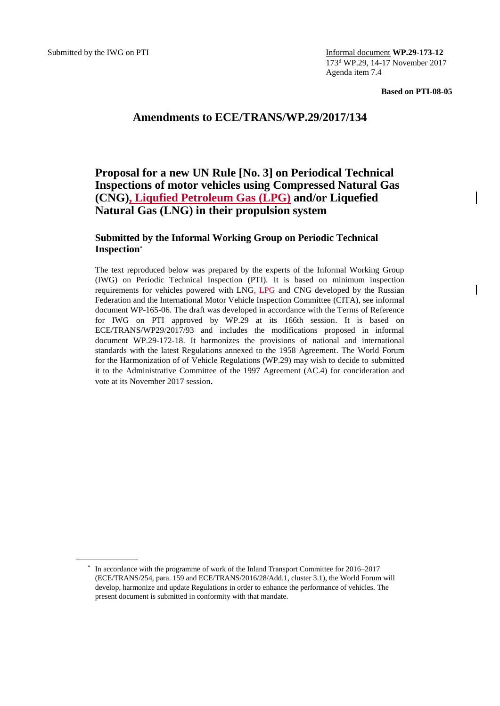Submitted by the IWG on PTI **Informal document <b>WP.29-173-12** 173<sup>d</sup> WP.29, 14-17 November 2017 Agenda item 7.4

**Based on PTI-08-05**

## **Amendments to ECE/TRANS/WP.29/2017/134**

### **Proposal for a new UN Rule [No. 3] on Periodical Technical Inspections of motor vehicles using Compressed Natural Gas (CNG), Liqufied Petroleum Gas (LPG) and/or Liquefied Natural Gas (LNG) in their propulsion system**

#### **Submitted by the Informal Working Group on Periodic Technical Inspection\***

The text reproduced below was prepared by the experts of the Informal Working Group (IWG) on Periodic Technical Inspection (PTI). It is based on minimum inspection requirements for vehicles powered with LNG, LPG and CNG developed by the Russian Federation and the International Motor Vehicle Inspection Committee (CITA), see informal document WP-165-06. The draft was developed in accordance with the Terms of Reference for IWG on PTI approved by WP.29 at its 166th session. It is based on ECE/TRANS/WP29/2017/93 and includes the modifications proposed in informal document WP.29-172-18. It harmonizes the provisions of national and international standards with the latest Regulations annexed to the 1958 Agreement. The World Forum for the Harmonization of of Vehicle Regulations (WP.29) may wish to decide to submitted it to the Administrative Committee of the 1997 Agreement (AC.4) for concideration and vote at its November 2017 session.

<sup>\*</sup> In accordance with the programme of work of the Inland Transport Committee for 2016–2017 (ECE/TRANS/254, para. 159 and ECE/TRANS/2016/28/Add.1, cluster 3.1), the World Forum will develop, harmonize and update Regulations in order to enhance the performance of vehicles. The present document is submitted in conformity with that mandate.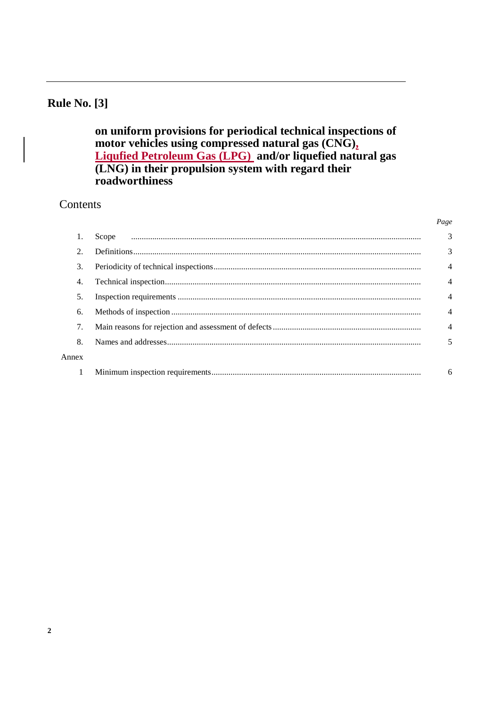## **Rule No. [3]**

on uniform provisions for periodical technical inspections of motor vehicles using compressed natural gas (CNG), Liqufied Petroleum Gas (LPG) and/or liquefied natural gas<br>(LNG) in their propulsion system with regard their roadworthiness

#### Contents

| 2.    |   |
|-------|---|
| 3.    |   |
| 4.    |   |
| 5.    |   |
| 6.    |   |
| 7.    |   |
| 8.    | 5 |
| Annex |   |
|       | 6 |

Page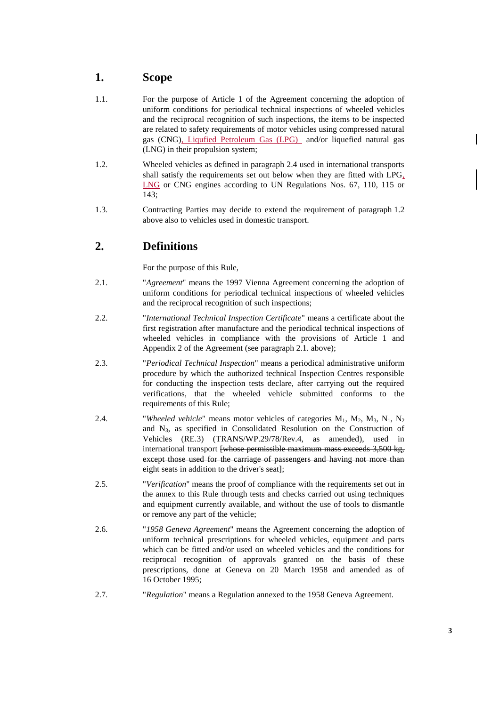#### **1. Scope**

- 1.1. For the purpose of Article 1 of the Agreement concerning the adoption of uniform conditions for periodical technical inspections of wheeled vehicles and the reciprocal recognition of such inspections, the items to be inspected are related to safety requirements of motor vehicles using compressed natural gas (CNG), Liqufied Petroleum Gas (LPG) and/or liquefied natural gas (LNG) in their propulsion system;
- 1.2. Wheeled vehicles as defined in paragraph 2.4 used in international transports shall satisfy the requirements set out below when they are fitted with LPG, LNG or CNG engines according to UN Regulations Nos. 67, 110, 115 or 143;
- 1.3. Contracting Parties may decide to extend the requirement of paragraph 1.2 above also to vehicles used in domestic transport.

### **2. Definitions**

For the purpose of this Rule,

- 2.1. "*Agreement*" means the 1997 Vienna Agreement concerning the adoption of uniform conditions for periodical technical inspections of wheeled vehicles and the reciprocal recognition of such inspections;
- 2.2. "*International Technical Inspection Certificate*" means a certificate about the first registration after manufacture and the periodical technical inspections of wheeled vehicles in compliance with the provisions of Article 1 and Appendix 2 of the Agreement (see paragraph 2.1. above);
- 2.3. "*Periodical Technical Inspection*" means a periodical administrative uniform procedure by which the authorized technical Inspection Centres responsible for conducting the inspection tests declare, after carrying out the required verifications, that the wheeled vehicle submitted conforms to the requirements of this Rule;
- 2.4. *"Wheeled vehicle"* means motor vehicles of categories  $M_1$ ,  $M_2$ ,  $M_3$ ,  $N_1$ ,  $N_2$ and N3, as specified in Consolidated Resolution on the Construction of Vehicles (RE.3) (TRANS/WP.29/78/Rev.4, as amended), used in international transport <del>[whose permissible maximum mass exceeds 3,500 kg,</del> except those used for the carriage of passengers and having not more than eight seats in addition to the driver's seat];
- 2.5. "*Verification*" means the proof of compliance with the requirements set out in the annex to this Rule through tests and checks carried out using techniques and equipment currently available, and without the use of tools to dismantle or remove any part of the vehicle;
- 2.6. "*1958 Geneva Agreement*" means the Agreement concerning the adoption of uniform technical prescriptions for wheeled vehicles, equipment and parts which can be fitted and/or used on wheeled vehicles and the conditions for reciprocal recognition of approvals granted on the basis of these prescriptions, done at Geneva on 20 March 1958 and amended as of 16 October 1995;
- 2.7. "*Regulation*" means a Regulation annexed to the 1958 Geneva Agreement.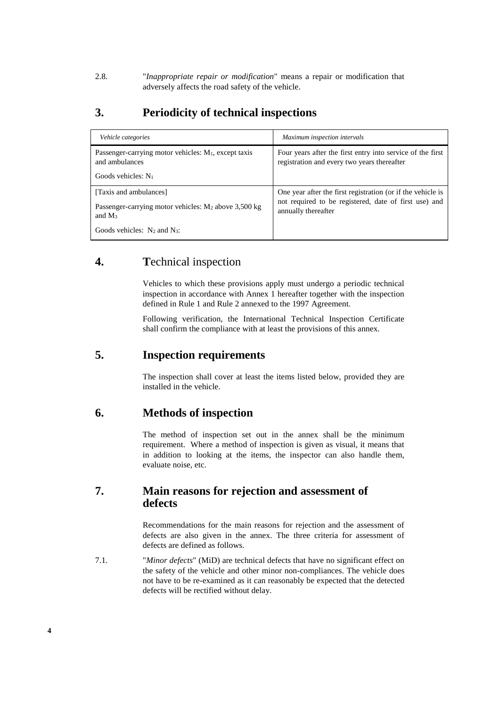2.8. "*Inappropriate repair or modification*" means a repair or modification that adversely affects the road safety of the vehicle.

#### **3. Periodicity of technical inspections**

| Vehicle categories                                                                                                                  | Maximum inspection intervals                                                                                                                |
|-------------------------------------------------------------------------------------------------------------------------------------|---------------------------------------------------------------------------------------------------------------------------------------------|
| Passenger-carrying motor vehicles: $M_1$ , except taxis<br>and ambulances<br>Goods vehicles: $N_1$                                  | Four years after the first entry into service of the first<br>registration and every two years thereafter                                   |
| [Taxis and ambulances]<br>Passenger-carrying motor vehicles: $M_2$ above 3,500 kg<br>and $M_3$<br>Goods vehicles: $N_2$ and $N_3$ : | One year after the first registration (or if the vehicle is<br>not required to be registered, date of first use) and<br>annually thereafter |

#### **4. T**echnical inspection

Vehicles to which these provisions apply must undergo a periodic technical inspection in accordance with Annex 1 hereafter together with the inspection defined in Rule 1 and Rule 2 annexed to the 1997 Agreement.

Following verification, the International Technical Inspection Certificate shall confirm the compliance with at least the provisions of this annex.

#### **5. Inspection requirements**

The inspection shall cover at least the items listed below, provided they are installed in the vehicle.

#### **6. Methods of inspection**

The method of inspection set out in the annex shall be the minimum requirement. Where a method of inspection is given as visual, it means that in addition to looking at the items, the inspector can also handle them, evaluate noise, etc.

#### **7. Main reasons for rejection and assessment of defects**

Recommendations for the main reasons for rejection and the assessment of defects are also given in the annex. The three criteria for assessment of defects are defined as follows.

7.1. "*Minor defects*" (MiD) are technical defects that have no significant effect on the safety of the vehicle and other minor non-compliances. The vehicle does not have to be re-examined as it can reasonably be expected that the detected defects will be rectified without delay.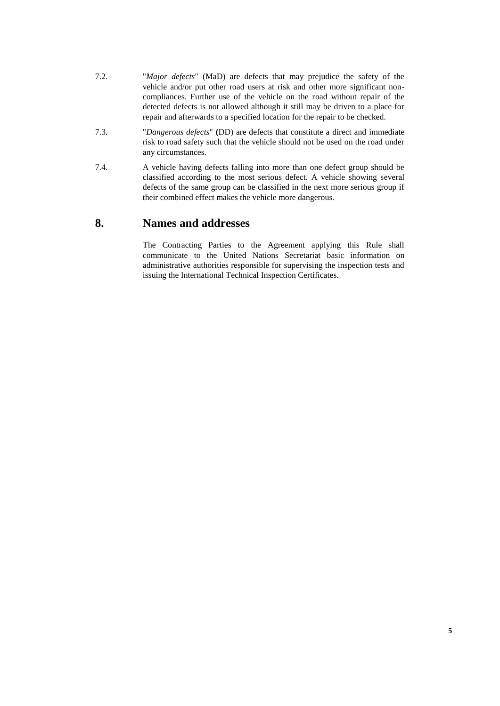- 7.2. "*Major defects*" (MaD) are defects that may prejudice the safety of the vehicle and/or put other road users at risk and other more significant noncompliances. Further use of the vehicle on the road without repair of the detected defects is not allowed although it still may be driven to a place for repair and afterwards to a specified location for the repair to be checked.
- 7.3. "*Dangerous defects*" **(**DD) are defects that constitute a direct and immediate risk to road safety such that the vehicle should not be used on the road under any circumstances.
- 7.4. A vehicle having defects falling into more than one defect group should be classified according to the most serious defect. A vehicle showing several defects of the same group can be classified in the next more serious group if their combined effect makes the vehicle more dangerous.

#### **8. Names and addresses**

The Contracting Parties to the Agreement applying this Rule shall communicate to the United Nations Secretariat basic information on administrative authorities responsible for supervising the inspection tests and issuing the International Technical Inspection Certificates.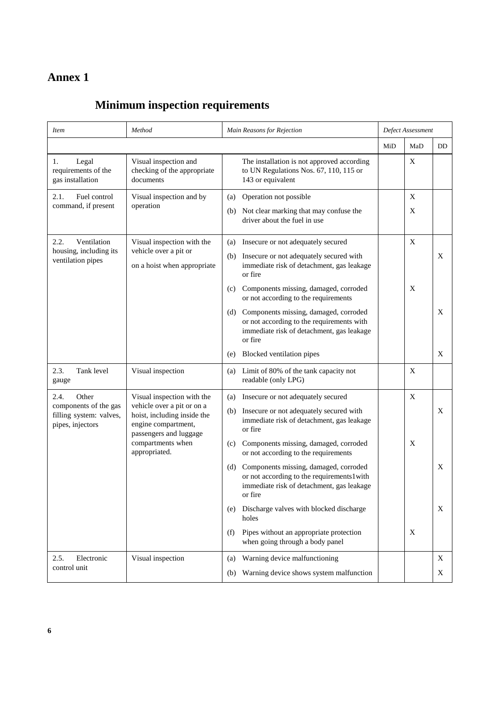## **Annex 1**

# **Minimum inspection requirements**

| <i>Item</i>                                            | Method                                                                                                                                   | Main Reasons for Rejection                                                                                                                          |     | Defect Assessment         |     |  |
|--------------------------------------------------------|------------------------------------------------------------------------------------------------------------------------------------------|-----------------------------------------------------------------------------------------------------------------------------------------------------|-----|---------------------------|-----|--|
|                                                        |                                                                                                                                          |                                                                                                                                                     | MiD | MaD                       | DD. |  |
| 1.<br>Legal<br>requirements of the<br>gas installation | Visual inspection and<br>checking of the appropriate<br>documents                                                                        | The installation is not approved according<br>to UN Regulations Nos. 67, 110, 115 or<br>143 or equivalent                                           |     | $\boldsymbol{\mathrm{X}}$ |     |  |
| 2.1.<br>Fuel control<br>command, if present            | Visual inspection and by<br>operation                                                                                                    | Operation not possible<br>(a)                                                                                                                       |     | X                         |     |  |
|                                                        |                                                                                                                                          | Not clear marking that may confuse the<br>(b)<br>driver about the fuel in use                                                                       |     | X                         |     |  |
| Ventilation<br>2.2.<br>housing, including its          | Visual inspection with the<br>vehicle over a pit or<br>on a hoist when appropriate                                                       | Insecure or not adequately secured<br>(a)                                                                                                           |     | X                         |     |  |
| ventilation pipes                                      |                                                                                                                                          | Insecure or not adequately secured with<br>(b)<br>immediate risk of detachment, gas leakage<br>or fire                                              |     |                           | X   |  |
|                                                        |                                                                                                                                          | Components missing, damaged, corroded<br>(c)<br>or not according to the requirements                                                                |     | X                         |     |  |
|                                                        |                                                                                                                                          | Components missing, damaged, corroded<br>(d)<br>or not according to the requirements with<br>immediate risk of detachment, gas leakage<br>or fire   |     |                           | X   |  |
|                                                        |                                                                                                                                          | Blocked ventilation pipes<br>(e)                                                                                                                    |     |                           | X   |  |
| Tank level<br>2.3.<br>gauge                            | Visual inspection                                                                                                                        | Limit of 80% of the tank capacity not<br>(a)<br>readable (only LPG)                                                                                 |     | X                         |     |  |
| 2.4.<br>Other<br>components of the gas                 | Visual inspection with the<br>vehicle over a pit or on a<br>hoist, including inside the<br>engine compartment,<br>passengers and luggage | Insecure or not adequately secured<br>(a)                                                                                                           |     | $\mathbf X$               |     |  |
| filling system: valves,<br>pipes, injectors            |                                                                                                                                          | Insecure or not adequately secured with<br>(b)<br>immediate risk of detachment, gas leakage<br>or fire                                              |     |                           | X   |  |
|                                                        | compartments when<br>appropriated.                                                                                                       | Components missing, damaged, corroded<br>(c)<br>or not according to the requirements                                                                |     | X                         |     |  |
|                                                        |                                                                                                                                          | Components missing, damaged, corroded<br>(d)<br>or not according to the requirements l with<br>immediate risk of detachment, gas leakage<br>or fire |     |                           | X   |  |
|                                                        |                                                                                                                                          | Discharge valves with blocked discharge<br>(e)<br>holes                                                                                             |     |                           | X   |  |
|                                                        |                                                                                                                                          | Pipes without an appropriate protection<br>(f)<br>when going through a body panel                                                                   |     | $\mathbf X$               |     |  |
| Electronic<br>2.5.                                     | Visual inspection                                                                                                                        | Warning device malfunctioning<br>(a)                                                                                                                |     |                           | X   |  |
| control unit                                           |                                                                                                                                          | Warning device shows system malfunction<br>(b)                                                                                                      |     |                           | Χ   |  |